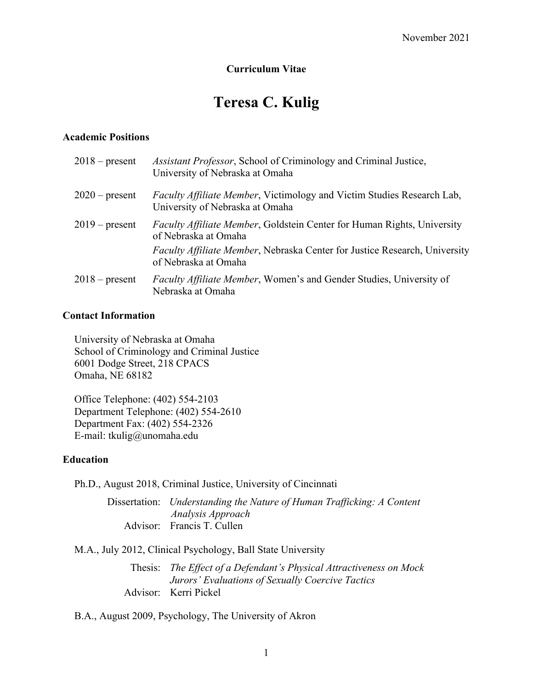### **Curriculum Vitae**

# **Teresa C. Kulig**

#### **Academic Positions**

| $2018$ – present | Assistant Professor, School of Criminology and Criminal Justice,<br>University of Nebraska at Omaha               |
|------------------|-------------------------------------------------------------------------------------------------------------------|
| $2020$ – present | <i>Faculty Affiliate Member</i> , Victimology and Victim Studies Research Lab,<br>University of Nebraska at Omaha |
| $2019$ – present | <i>Faculty Affiliate Member</i> , Goldstein Center for Human Rights, University<br>of Nebraska at Omaha           |
|                  | <i>Faculty Affiliate Member, Nebraska Center for Justice Research, University</i><br>of Nebraska at Omaha         |
| $2018$ – present | <i>Faculty Affiliate Member</i> , Women's and Gender Studies, University of<br>Nebraska at Omaha                  |

#### **Contact Information**

University of Nebraska at Omaha School of Criminology and Criminal Justice 6001 Dodge Street, 218 CPACS Omaha, NE 68182

Office Telephone: (402) 554-2103 Department Telephone: (402) 554-2610 Department Fax: (402) 554-2326 E-mail: tkulig@unomaha.edu

#### **Education**

Ph.D., August 2018, Criminal Justice, University of Cincinnati

Dissertation: *Understanding the Nature of Human Trafficking: A Content Analysis Approach* Advisor: Francis T. Cullen

M.A., July 2012, Clinical Psychology, Ball State University

Thesis: *The Effect of a Defendant's Physical Attractiveness on Mock Jurors' Evaluations of Sexually Coercive Tactics*  Advisor: Kerri Pickel

B.A., August 2009, Psychology, The University of Akron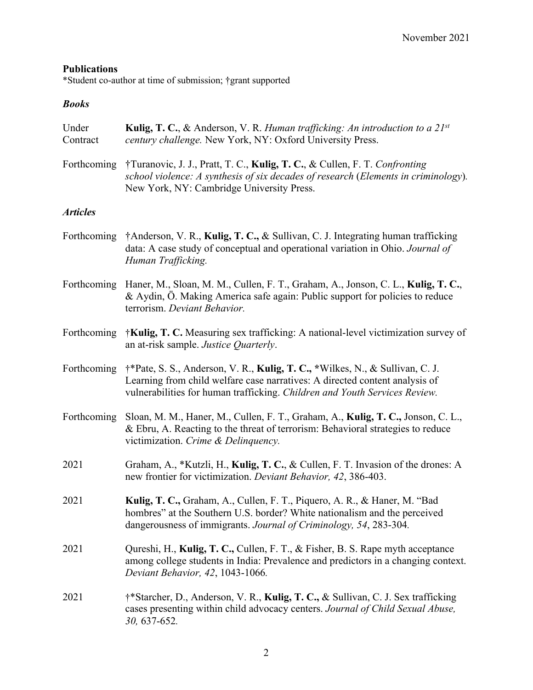# **Publications**

\*Student co-author at time of submission; †grant supported

# *Books*

| Under<br>Contract | Kulig, T. C., & Anderson, V. R. Human trafficking: An introduction to a $21^{st}$<br>century challenge. New York, NY: Oxford University Press.                                                                                            |
|-------------------|-------------------------------------------------------------------------------------------------------------------------------------------------------------------------------------------------------------------------------------------|
| Forthcoming       | †Turanovic, J. J., Pratt, T. C., Kulig, T. C., & Cullen, F. T. Confronting<br>school violence: A synthesis of six decades of research (Elements in criminology).<br>New York, NY: Cambridge University Press.                             |
| <b>Articles</b>   |                                                                                                                                                                                                                                           |
|                   | Forthcoming †Anderson, V. R., Kulig, T. C., & Sullivan, C. J. Integrating human trafficking<br>data: A case study of conceptual and operational variation in Ohio. Journal of<br>Human Trafficking.                                       |
| Forthcoming       | Haner, M., Sloan, M. M., Cullen, F. T., Graham, A., Jonson, C. L., Kulig, T. C.,<br>& Aydin, Ö. Making America safe again: Public support for policies to reduce<br>terrorism. Deviant Behavior.                                          |
| Forthcoming       | †Kulig, T. C. Measuring sex trafficking: A national-level victimization survey of<br>an at-risk sample. Justice Quarterly.                                                                                                                |
| Forthcoming       | †*Pate, S. S., Anderson, V. R., Kulig, T. C., *Wilkes, N., & Sullivan, C. J.<br>Learning from child welfare case narratives: A directed content analysis of<br>vulnerabilities for human trafficking. Children and Youth Services Review. |
| Forthcoming       | Sloan, M. M., Haner, M., Cullen, F. T., Graham, A., Kulig, T. C., Jonson, C. L.,<br>& Ebru, A. Reacting to the threat of terrorism: Behavioral strategies to reduce<br>victimization. Crime & Delinquency.                                |
| 2021              | Graham, A., *Kutzli, H., Kulig, T. C., & Cullen, F. T. Invasion of the drones: A<br>new frontier for victimization. Deviant Behavior, 42, 386-403.                                                                                        |
| 2021              | Kulig, T. C., Graham, A., Cullen, F. T., Piquero, A. R., & Haner, M. "Bad<br>hombres" at the Southern U.S. border? White nationalism and the perceived<br>dangerousness of immigrants. Journal of Criminology, 54, 283-304.               |
| 2021              | Qureshi, H., Kulig, T. C., Cullen, F. T., & Fisher, B. S. Rape myth acceptance<br>among college students in India: Prevalence and predictors in a changing context.<br>Deviant Behavior, 42, 1043-1066.                                   |
| 2021              | †*Starcher, D., Anderson, V. R., Kulig, T. C., & Sullivan, C. J. Sex trafficking<br>cases presenting within child advocacy centers. Journal of Child Sexual Abuse,<br>30, 637-652.                                                        |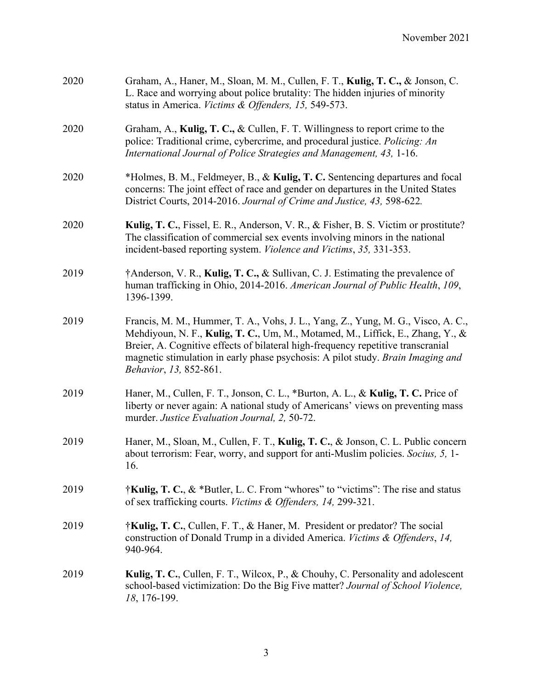| 2020 | Graham, A., Haner, M., Sloan, M. M., Cullen, F. T., Kulig, T. C., & Jonson, C.<br>L. Race and worrying about police brutality: The hidden injuries of minority<br>status in America. Victims & Offenders, 15, 549-573.                                                                                                                                              |
|------|---------------------------------------------------------------------------------------------------------------------------------------------------------------------------------------------------------------------------------------------------------------------------------------------------------------------------------------------------------------------|
| 2020 | Graham, A., Kulig, T. C., & Cullen, F. T. Willingness to report crime to the<br>police: Traditional crime, cybercrime, and procedural justice. Policing: An<br>International Journal of Police Strategies and Management, 43, 1-16.                                                                                                                                 |
| 2020 | *Holmes, B. M., Feldmeyer, B., & Kulig, T. C. Sentencing departures and focal<br>concerns: The joint effect of race and gender on departures in the United States<br>District Courts, 2014-2016. Journal of Crime and Justice, 43, 598-622.                                                                                                                         |
| 2020 | Kulig, T. C., Fissel, E. R., Anderson, V. R., & Fisher, B. S. Victim or prostitute?<br>The classification of commercial sex events involving minors in the national<br>incident-based reporting system. Violence and Victims, 35, 331-353.                                                                                                                          |
| 2019 | †Anderson, V. R., Kulig, T. C., & Sullivan, C. J. Estimating the prevalence of<br>human trafficking in Ohio, 2014-2016. American Journal of Public Health, 109,<br>1396-1399.                                                                                                                                                                                       |
| 2019 | Francis, M. M., Hummer, T. A., Vohs, J. L., Yang, Z., Yung, M. G., Visco, A. C.,<br>Mehdiyoun, N. F., Kulig, T. C., Um, M., Motamed, M., Liffick, E., Zhang, Y., &<br>Breier, A. Cognitive effects of bilateral high-frequency repetitive transcranial<br>magnetic stimulation in early phase psychosis: A pilot study. Brain Imaging and<br>Behavior, 13, 852-861. |
| 2019 | Haner, M., Cullen, F. T., Jonson, C. L., *Burton, A. L., & Kulig, T. C. Price of<br>liberty or never again: A national study of Americans' views on preventing mass<br>murder. Justice Evaluation Journal, 2, 50-72.                                                                                                                                                |
| 2019 | Haner, M., Sloan, M., Cullen, F. T., Kulig, T. C., & Jonson, C. L. Public concern<br>about terrorism: Fear, worry, and support for anti-Muslim policies. Socius, 5, 1-<br>16.                                                                                                                                                                                       |
| 2019 | †Kulig, T. C., & *Butler, L. C. From "whores" to "victims": The rise and status<br>of sex trafficking courts. Victims & Offenders, 14, 299-321.                                                                                                                                                                                                                     |
| 2019 | †Kulig, T. C., Cullen, F. T., & Haner, M. President or predator? The social<br>construction of Donald Trump in a divided America. Victims & Offenders, 14,<br>940-964.                                                                                                                                                                                              |
| 2019 | Kulig, T. C., Cullen, F. T., Wilcox, P., & Chouhy, C. Personality and adolescent<br>school-based victimization: Do the Big Five matter? Journal of School Violence,<br>18, 176-199.                                                                                                                                                                                 |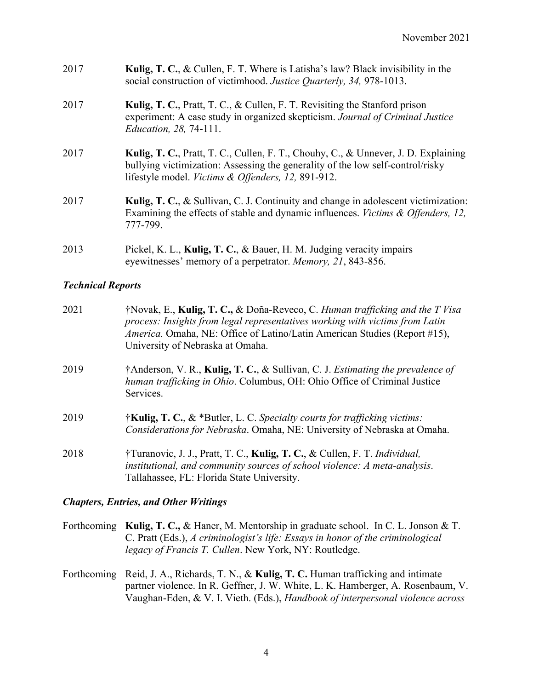| 2017 | <b>Kulig, T. C., &amp; Cullen, F. T. Where is Latisha's law? Black invisibility in the</b><br>social construction of victimhood. Justice Quarterly, 34, 978-1013. |
|------|-------------------------------------------------------------------------------------------------------------------------------------------------------------------|
| 2017 | <b>Kulig, T. C., Pratt, T. C., &amp; Cullen, F. T. Revisiting the Stanford prison</b>                                                                             |
|      | experiment: A case study in organized skepticism. Journal of Criminal Justice                                                                                     |

*Education, 28,* 74-111.

- 2017 **Kulig, T. C.**, Pratt, T. C., Cullen, F. T., Chouhy, C., & Unnever, J. D. Explaining bullying victimization: Assessing the generality of the low self-control/risky lifestyle model. *Victims & Offenders, 12,* 891-912.
- 2017 **Kulig, T. C.**, & Sullivan, C. J. Continuity and change in adolescent victimization: Examining the effects of stable and dynamic influences. *Victims & Offenders, 12,* 777-799.
- 2013 Pickel, K. L., **Kulig, T. C.**, & Bauer, H. M. Judging veracity impairs eyewitnesses' memory of a perpetrator. *Memory, 21*, 843-856.

### *Technical Reports*

| 2021 | †Novak, E., Kulig, T. C., & Doña-Reveco, C. Human trafficking and the T Visa<br>process: Insights from legal representatives working with victims from Latin<br><i>America.</i> Omaha, NE: Office of Latino/Latin American Studies (Report #15),<br>University of Nebraska at Omaha. |
|------|--------------------------------------------------------------------------------------------------------------------------------------------------------------------------------------------------------------------------------------------------------------------------------------|
| 2019 | †Anderson, V. R., Kulig, T. C., & Sullivan, C. J. Estimating the prevalence of<br>human trafficking in Ohio. Columbus, OH: Ohio Office of Criminal Justice<br>Services.                                                                                                              |
| 2019 | $\dagger$ Kulig, T. C., & *Butler, L. C. Specialty courts for trafficking victims:<br>Considerations for Nebraska. Omaha, NE: University of Nebraska at Omaha.                                                                                                                       |
| 2018 | †Turanovic, J. J., Pratt, T. C., Kulig, T. C., & Cullen, F. T. Individual,<br>institutional, and community sources of school violence: A meta-analysis.<br>Tallahassee, FL: Florida State University.                                                                                |

#### *Chapters, Entries, and Other Writings*

Forthcoming **Kulig, T. C.,** & Haner, M. Mentorship in graduate school. In C. L. Jonson & T. C. Pratt (Eds.), *A criminologist's life: Essays in honor of the criminological legacy of Francis T. Cullen*. New York, NY: Routledge.

Forthcoming Reid, J. A., Richards, T. N., & **Kulig, T. C.** Human trafficking and intimate partner violence. In R. Geffner, J. W. White, L. K. Hamberger, A. Rosenbaum, V. Vaughan-Eden, & V. I. Vieth. (Eds.), *Handbook of interpersonal violence across*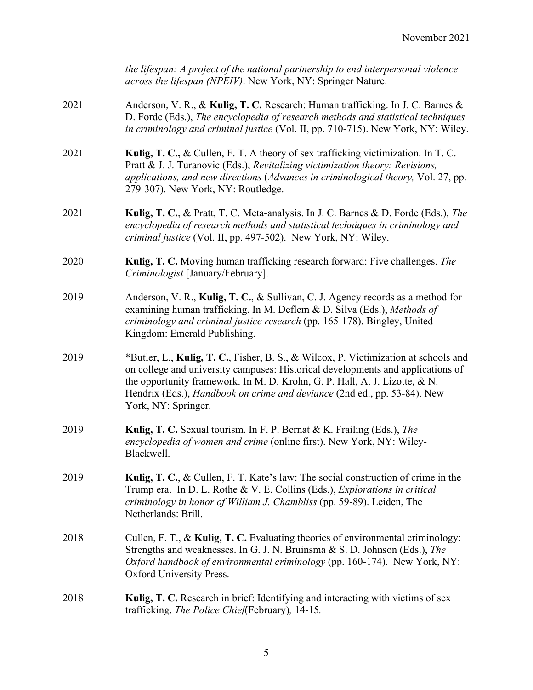|      | the lifespan: A project of the national partnership to end interpersonal violence<br>across the lifespan (NPEIV). New York, NY: Springer Nature.                                                                                                                                                                                                        |
|------|---------------------------------------------------------------------------------------------------------------------------------------------------------------------------------------------------------------------------------------------------------------------------------------------------------------------------------------------------------|
| 2021 | Anderson, V. R., & Kulig, T. C. Research: Human trafficking. In J. C. Barnes &<br>D. Forde (Eds.), The encyclopedia of research methods and statistical techniques<br>in criminology and criminal justice (Vol. II, pp. 710-715). New York, NY: Wiley.                                                                                                  |
| 2021 | Kulig, T. C., & Cullen, F. T. A theory of sex trafficking victimization. In T. C.<br>Pratt & J. J. Turanovic (Eds.), Revitalizing victimization theory: Revisions,<br>applications, and new directions (Advances in criminological theory, Vol. 27, pp.<br>279-307). New York, NY: Routledge.                                                           |
| 2021 | Kulig, T. C., & Pratt, T. C. Meta-analysis. In J. C. Barnes & D. Forde (Eds.), The<br>encyclopedia of research methods and statistical techniques in criminology and<br>criminal justice (Vol. II, pp. 497-502). New York, NY: Wiley.                                                                                                                   |
| 2020 | Kulig, T. C. Moving human trafficking research forward: Five challenges. The<br>Criminologist [January/February].                                                                                                                                                                                                                                       |
| 2019 | Anderson, V. R., Kulig, T. C., & Sullivan, C. J. Agency records as a method for<br>examining human trafficking. In M. Deflem & D. Silva (Eds.), Methods of<br>criminology and criminal justice research (pp. 165-178). Bingley, United<br>Kingdom: Emerald Publishing.                                                                                  |
| 2019 | *Butler, L., Kulig, T. C., Fisher, B. S., & Wilcox, P. Victimization at schools and<br>on college and university campuses: Historical developments and applications of<br>the opportunity framework. In M. D. Krohn, G. P. Hall, A. J. Lizotte, & N.<br>Hendrix (Eds.), Handbook on crime and deviance (2nd ed., pp. 53-84). New<br>York, NY: Springer. |
| 2019 | Kulig, T. C. Sexual tourism. In F. P. Bernat & K. Frailing (Eds.), The<br>encyclopedia of women and crime (online first). New York, NY: Wiley-<br>Blackwell.                                                                                                                                                                                            |
| 2019 | Kulig, T. C., & Cullen, F. T. Kate's law: The social construction of crime in the<br>Trump era. In D. L. Rothe & V. E. Collins (Eds.), Explorations in critical<br>criminology in honor of William J. Chambliss (pp. 59-89). Leiden, The<br>Netherlands: Brill.                                                                                         |
| 2018 | Cullen, F. T., & Kulig, T. C. Evaluating theories of environmental criminology:<br>Strengths and weaknesses. In G. J. N. Bruinsma & S. D. Johnson (Eds.), The<br>Oxford handbook of environmental criminology (pp. 160-174). New York, NY:<br>Oxford University Press.                                                                                  |
| 2018 | Kulig, T. C. Research in brief: Identifying and interacting with victims of sex<br>trafficking. The Police Chief(February), 14-15.                                                                                                                                                                                                                      |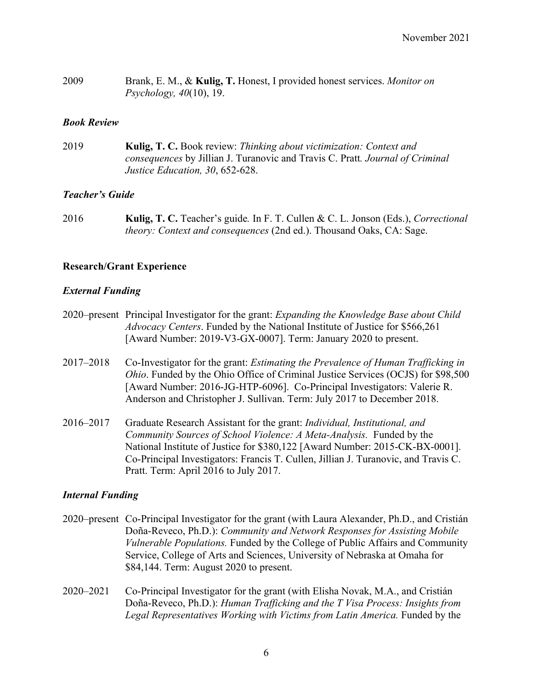| 2009 | Brank, E. M., & Kulig, T. Honest, I provided honest services. Monitor on |
|------|--------------------------------------------------------------------------|
|      | <i>Psychology, 40</i> $(10)$ , 19.                                       |

#### *Book Review*

2019 **Kulig, T. C.** Book review: *Thinking about victimization: Context and consequences* by Jillian J. Turanovic and Travis C. Pratt*. Journal of Criminal Justice Education, 30*, 652-628.

#### *Teacher's Guide*

2016 **Kulig, T. C.** Teacher's guide*.* In F. T. Cullen & C. L. Jonson (Eds.), *Correctional theory: Context and consequences* (2nd ed.). Thousand Oaks, CA: Sage.

#### **Research/Grant Experience**

#### *External Funding*

- 2020–present Principal Investigator for the grant: *Expanding the Knowledge Base about Child Advocacy Centers*. Funded by the National Institute of Justice for \$566,261 [Award Number: 2019-V3-GX-0007]. Term: January 2020 to present.
- 2017–2018 Co-Investigator for the grant: *Estimating the Prevalence of Human Trafficking in Ohio*. Funded by the Ohio Office of Criminal Justice Services (OCJS) for \$98,500 [Award Number: 2016-JG-HTP-6096]. Co-Principal Investigators: Valerie R. Anderson and Christopher J. Sullivan. Term: July 2017 to December 2018.
- 2016–2017 Graduate Research Assistant for the grant: *Individual, Institutional, and Community Sources of School Violence: A Meta-Analysis.* Funded by the National Institute of Justice for \$380,122 [Award Number: 2015-CK-BX-0001]. Co-Principal Investigators: Francis T. Cullen, Jillian J. Turanovic, and Travis C. Pratt. Term: April 2016 to July 2017.

#### *Internal Funding*

- 2020–present Co-Principal Investigator for the grant (with Laura Alexander, Ph.D., and Cristián Doña-Reveco, Ph.D.): *Community and Network Responses for Assisting Mobile Vulnerable Populations.* Funded by the College of Public Affairs and Community Service, College of Arts and Sciences, University of Nebraska at Omaha for \$84,144. Term: August 2020 to present.
- 2020–2021 Co-Principal Investigator for the grant (with Elisha Novak, M.A., and Cristián Doña-Reveco, Ph.D.): *Human Trafficking and the T Visa Process: Insights from Legal Representatives Working with Victims from Latin America.* Funded by the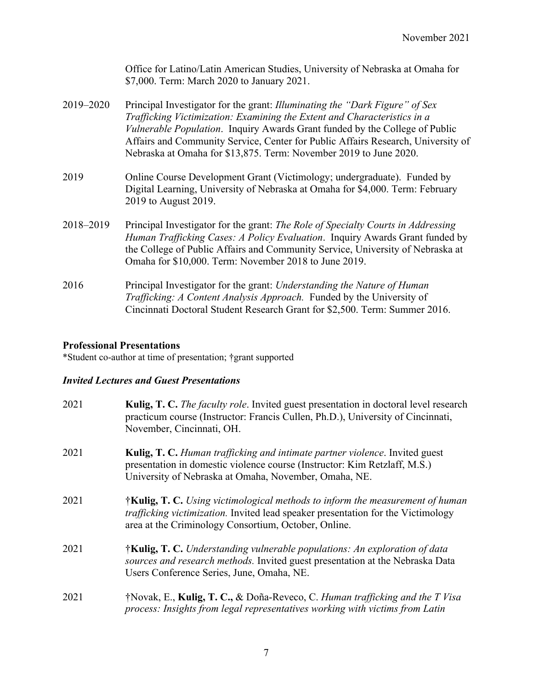|           | Office for Latino/Latin American Studies, University of Nebraska at Omaha for<br>\$7,000. Term: March 2020 to January 2021.                                                                                                                                                                                                                                                                     |
|-----------|-------------------------------------------------------------------------------------------------------------------------------------------------------------------------------------------------------------------------------------------------------------------------------------------------------------------------------------------------------------------------------------------------|
| 2019–2020 | Principal Investigator for the grant: Illuminating the "Dark Figure" of Sex<br>Trafficking Victimization: Examining the Extent and Characteristics in a<br>Vulnerable Population. Inquiry Awards Grant funded by the College of Public<br>Affairs and Community Service, Center for Public Affairs Research, University of<br>Nebraska at Omaha for \$13,875. Term: November 2019 to June 2020. |
| 2019      | Online Course Development Grant (Victimology; undergraduate). Funded by<br>Digital Learning, University of Nebraska at Omaha for \$4,000. Term: February<br>2019 to August 2019.                                                                                                                                                                                                                |
| 2018–2019 | Principal Investigator for the grant: The Role of Specialty Courts in Addressing<br>Human Trafficking Cases: A Policy Evaluation. Inquiry Awards Grant funded by<br>the College of Public Affairs and Community Service, University of Nebraska at<br>Omaha for \$10,000. Term: November 2018 to June 2019.                                                                                     |
| 2016      | Principal Investigator for the grant: Understanding the Nature of Human<br>Trafficking: A Content Analysis Approach. Funded by the University of<br>Cincinnati Doctoral Student Research Grant for \$2,500. Term: Summer 2016.                                                                                                                                                                  |

# **Professional Presentations**

\*Student co-author at time of presentation; †grant supported

# *Invited Lectures and Guest Presentations*

| 2021 | <b>Kulig, T. C.</b> The faculty role. Invited guest presentation in doctoral level research<br>practicum course (Instructor: Francis Cullen, Ph.D.), University of Cincinnati,<br>November, Cincinnati, OH.                      |
|------|----------------------------------------------------------------------------------------------------------------------------------------------------------------------------------------------------------------------------------|
| 2021 | <b>Kulig, T. C.</b> Human trafficking and intimate partner violence. Invited guest<br>presentation in domestic violence course (Instructor: Kim Retzlaff, M.S.)<br>University of Nebraska at Omaha, November, Omaha, NE.         |
| 2021 | <b>†Kulig, T. C.</b> Using victimological methods to inform the measurement of human<br>trafficking victimization. Invited lead speaker presentation for the Victimology<br>area at the Criminology Consortium, October, Online. |
| 2021 | †Kulig, T. C. Understanding vulnerable populations: An exploration of data<br>sources and research methods. Invited guest presentation at the Nebraska Data<br>Users Conference Series, June, Omaha, NE.                         |
| 2021 | $\mathbf{N}$ Novak, E., Kulig, T. C., & Doña-Reveco, C. Human trafficking and the T Visa<br>process: Insights from legal representatives working with victims from Latin                                                         |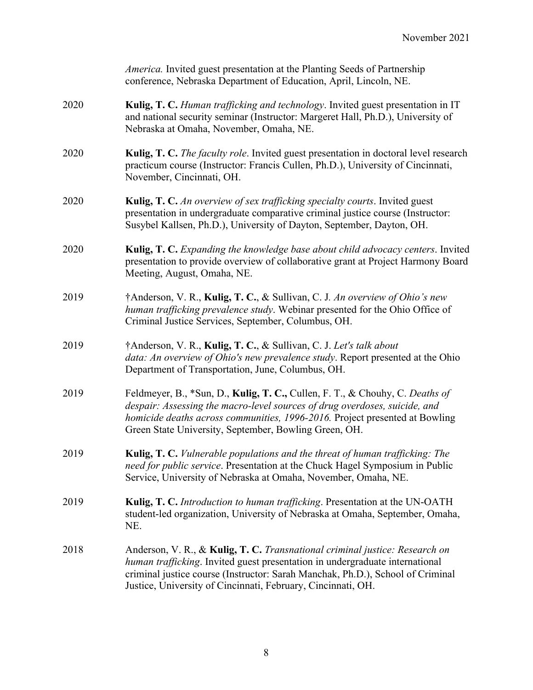|      | <i>America</i> . Invited guest presentation at the Planting Seeds of Partnership<br>conference, Nebraska Department of Education, April, Lincoln, NE.                                                                                                                                                         |
|------|---------------------------------------------------------------------------------------------------------------------------------------------------------------------------------------------------------------------------------------------------------------------------------------------------------------|
| 2020 | Kulig, T. C. Human trafficking and technology. Invited guest presentation in IT<br>and national security seminar (Instructor: Margeret Hall, Ph.D.), University of<br>Nebraska at Omaha, November, Omaha, NE.                                                                                                 |
| 2020 | Kulig, T. C. The faculty role. Invited guest presentation in doctoral level research<br>practicum course (Instructor: Francis Cullen, Ph.D.), University of Cincinnati,<br>November, Cincinnati, OH.                                                                                                          |
| 2020 | Kulig, T. C. An overview of sex trafficking specialty courts. Invited guest<br>presentation in undergraduate comparative criminal justice course (Instructor:<br>Susybel Kallsen, Ph.D.), University of Dayton, September, Dayton, OH.                                                                        |
| 2020 | Kulig, T. C. Expanding the knowledge base about child advocacy centers. Invited<br>presentation to provide overview of collaborative grant at Project Harmony Board<br>Meeting, August, Omaha, NE.                                                                                                            |
| 2019 | †Anderson, V. R., Kulig, T. C., & Sullivan, C. J. An overview of Ohio's new<br>human trafficking prevalence study. Webinar presented for the Ohio Office of<br>Criminal Justice Services, September, Columbus, OH.                                                                                            |
| 2019 | †Anderson, V. R., Kulig, T. C., & Sullivan, C. J. Let's talk about<br><i>data: An overview of Ohio's new prevalence study.</i> Report presented at the Ohio<br>Department of Transportation, June, Columbus, OH.                                                                                              |
| 2019 | Feldmeyer, B., *Sun, D., Kulig, T. C., Cullen, F. T., & Chouhy, C. Deaths of<br>despair: Assessing the macro-level sources of drug overdoses, suicide, and<br>homicide deaths across communities, 1996-2016. Project presented at Bowling<br>Green State University, September, Bowling Green, OH.            |
| 2019 | <b>Kulig, T. C.</b> Vulnerable populations and the threat of human trafficking: The<br>need for public service. Presentation at the Chuck Hagel Symposium in Public<br>Service, University of Nebraska at Omaha, November, Omaha, NE.                                                                         |
| 2019 | Kulig, T. C. Introduction to human trafficking. Presentation at the UN-OATH<br>student-led organization, University of Nebraska at Omaha, September, Omaha,<br>NE.                                                                                                                                            |
| 2018 | Anderson, V. R., & Kulig, T. C. Transnational criminal justice: Research on<br>human trafficking. Invited guest presentation in undergraduate international<br>criminal justice course (Instructor: Sarah Manchak, Ph.D.), School of Criminal<br>Justice, University of Cincinnati, February, Cincinnati, OH. |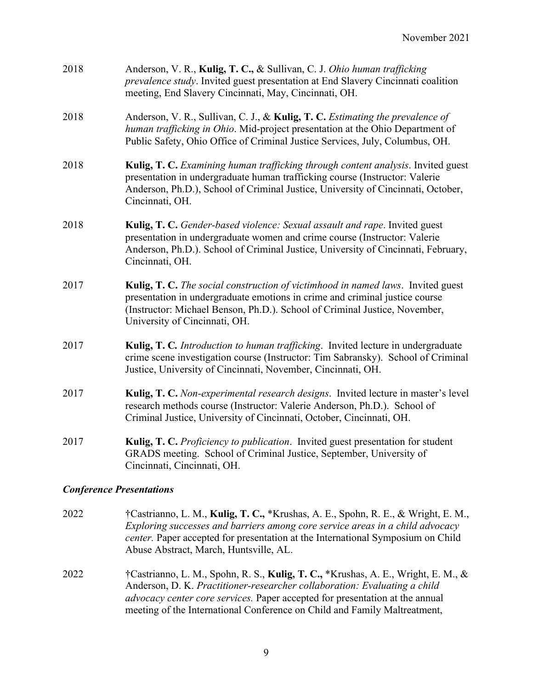| 2018 | Anderson, V. R., Kulig, T. C., & Sullivan, C. J. Ohio human trafficking<br>prevalence study. Invited guest presentation at End Slavery Cincinnati coalition<br>meeting, End Slavery Cincinnati, May, Cincinnati, OH.                                                                 |
|------|--------------------------------------------------------------------------------------------------------------------------------------------------------------------------------------------------------------------------------------------------------------------------------------|
| 2018 | Anderson, V. R., Sullivan, C. J., & Kulig, T. C. Estimating the prevalence of<br>human trafficking in Ohio. Mid-project presentation at the Ohio Department of<br>Public Safety, Ohio Office of Criminal Justice Services, July, Columbus, OH.                                       |
| 2018 | Kulig, T. C. Examining human trafficking through content analysis. Invited guest<br>presentation in undergraduate human trafficking course (Instructor: Valerie<br>Anderson, Ph.D.), School of Criminal Justice, University of Cincinnati, October,<br>Cincinnati, OH.               |
| 2018 | Kulig, T. C. Gender-based violence: Sexual assault and rape. Invited guest<br>presentation in undergraduate women and crime course (Instructor: Valerie<br>Anderson, Ph.D.). School of Criminal Justice, University of Cincinnati, February,<br>Cincinnati, OH.                      |
| 2017 | <b>Kulig, T. C.</b> The social construction of victimhood in named laws. Invited guest<br>presentation in undergraduate emotions in crime and criminal justice course<br>(Instructor: Michael Benson, Ph.D.). School of Criminal Justice, November,<br>University of Cincinnati, OH. |
| 2017 | Kulig, T. C. Introduction to human trafficking. Invited lecture in undergraduate<br>crime scene investigation course (Instructor: Tim Sabransky). School of Criminal<br>Justice, University of Cincinnati, November, Cincinnati, OH.                                                 |
| 2017 | Kulig, T. C. Non-experimental research designs. Invited lecture in master's level<br>research methods course (Instructor: Valerie Anderson, Ph.D.). School of<br>Criminal Justice, University of Cincinnati, October, Cincinnati, OH.                                                |
| 2017 | Kulig, T. C. Proficiency to publication. Invited guest presentation for student<br>GRADS meeting. School of Criminal Justice, September, University of<br>Cincinnati, Cincinnati, OH.                                                                                                |

# *Conference Presentations*

- 2022 †Castrianno, L. M., **Kulig, T. C.,** \*Krushas, A. E., Spohn, R. E., & Wright, E. M., *Exploring successes and barriers among core service areas in a child advocacy center.* Paper accepted for presentation at the International Symposium on Child Abuse Abstract, March, Huntsville, AL.
- 2022 †Castrianno, L. M., Spohn, R. S., **Kulig, T. C.,** \*Krushas, A. E., Wright, E. M., & Anderson, D. K. *Practitioner-researcher collaboration: Evaluating a child advocacy center core services.* Paper accepted for presentation at the annual meeting of the International Conference on Child and Family Maltreatment,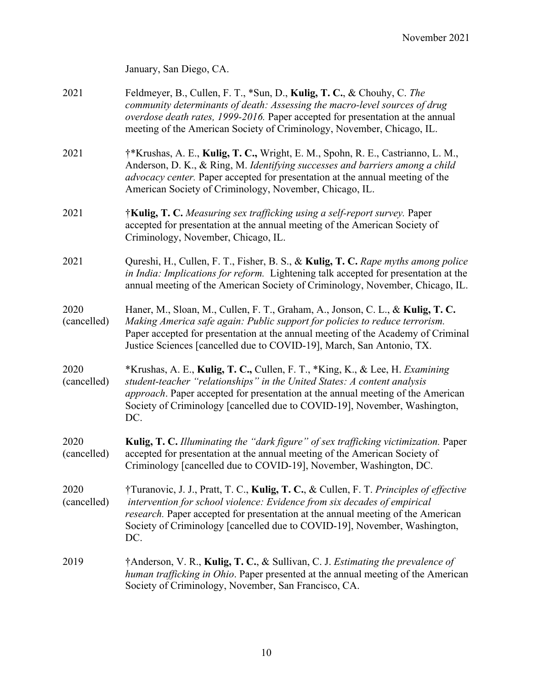January, San Diego, CA.

- 2021 Feldmeyer, B., Cullen, F. T., \*Sun, D., **Kulig, T. C.**, & Chouhy, C. *The community determinants of death: Assessing the macro-level sources of drug overdose death rates, 1999-2016.* Paper accepted for presentation at the annual meeting of the American Society of Criminology, November, Chicago, IL.
- 2021 †\*Krushas, A. E., **Kulig, T. C.,** Wright, E. M., Spohn, R. E., Castrianno, L. M., Anderson, D. K., & Ring, M. *Identifying successes and barriers among a child advocacy center.* Paper accepted for presentation at the annual meeting of the American Society of Criminology, November, Chicago, IL.
- 2021 †**Kulig, T. C.** *Measuring sex trafficking using a self-report survey.* Paper accepted for presentation at the annual meeting of the American Society of Criminology, November, Chicago, IL.
- 2021 Qureshi, H., Cullen, F. T., Fisher, B. S., & **Kulig, T. C.** *Rape myths among police in India: Implications for reform.* Lightening talk accepted for presentation at the annual meeting of the American Society of Criminology, November, Chicago, IL.
- 2020 Haner, M., Sloan, M., Cullen, F. T., Graham, A., Jonson, C. L., & **Kulig, T. C.** (cancelled) *Making America safe again: Public support for policies to reduce terrorism.*  Paper accepted for presentation at the annual meeting of the Academy of Criminal Justice Sciences [cancelled due to COVID-19], March, San Antonio, TX.
- 2020 \*Krushas, A. E., **Kulig, T. C.,** Cullen, F. T., \*King, K., & Lee, H. *Examining*  (cancelled) *student-teacher "relationships" in the United States: A content analysis approach*. Paper accepted for presentation at the annual meeting of the American Society of Criminology [cancelled due to COVID-19], November, Washington, DC.
- 2020 **Kulig, T. C.** *Illuminating the "dark figure" of sex trafficking victimization.* Paper (cancelled) accepted for presentation at the annual meeting of the American Society of Criminology [cancelled due to COVID-19], November, Washington, DC.
- 2020 †Turanovic, J. J., Pratt, T. C., **Kulig, T. C.**, & Cullen, F. T. *Principles of effective* (cancelled) *intervention for school violence: Evidence from six decades of empirical research.* Paper accepted for presentation at the annual meeting of the American Society of Criminology [cancelled due to COVID-19], November, Washington, DC.
- 2019 †Anderson, V. R., **Kulig, T. C.**, & Sullivan, C. J. *Estimating the prevalence of human trafficking in Ohio*. Paper presented at the annual meeting of the American Society of Criminology, November, San Francisco, CA.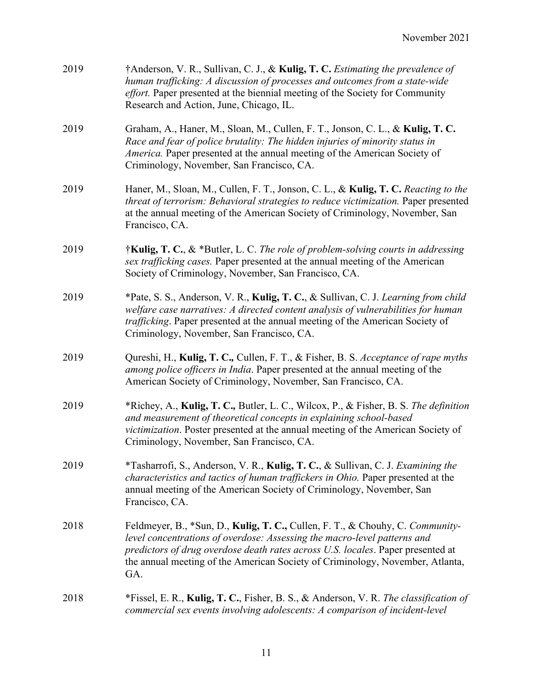| 2019 | †Anderson, V. R., Sullivan, C. J., & Kulig, T. C. Estimating the prevalence of<br>human trafficking: A discussion of processes and outcomes from a state-wide<br>effort. Paper presented at the biennial meeting of the Society for Community<br>Research and Action, June, Chicago, IL.                                             |
|------|--------------------------------------------------------------------------------------------------------------------------------------------------------------------------------------------------------------------------------------------------------------------------------------------------------------------------------------|
| 2019 | Graham, A., Haner, M., Sloan, M., Cullen, F. T., Jonson, C. L., & Kulig, T. C.<br>Race and fear of police brutality: The hidden injuries of minority status in<br>America. Paper presented at the annual meeting of the American Society of<br>Criminology, November, San Francisco, CA.                                             |
| 2019 | Haner, M., Sloan, M., Cullen, F. T., Jonson, C. L., & Kulig, T. C. Reacting to the<br>threat of terrorism: Behavioral strategies to reduce victimization. Paper presented<br>at the annual meeting of the American Society of Criminology, November, San<br>Francisco, CA.                                                           |
| 2019 | $\dagger$ Kulig, T. C., & *Butler, L. C. The role of problem-solving courts in addressing<br>sex trafficking cases. Paper presented at the annual meeting of the American<br>Society of Criminology, November, San Francisco, CA.                                                                                                    |
| 2019 | *Pate, S. S., Anderson, V. R., Kulig, T. C., & Sullivan, C. J. Learning from child<br>welfare case narratives: A directed content analysis of vulnerabilities for human<br>trafficking. Paper presented at the annual meeting of the American Society of<br>Criminology, November, San Francisco, CA.                                |
| 2019 | Qureshi, H., Kulig, T. C., Cullen, F. T., & Fisher, B. S. Acceptance of rape myths<br>among police officers in India. Paper presented at the annual meeting of the<br>American Society of Criminology, November, San Francisco, CA.                                                                                                  |
| 2019 | *Richey, A., Kulig, T. C., Butler, L. C., Wilcox, P., & Fisher, B. S. The definition<br>and measurement of theoretical concepts in explaining school-based<br>victimization. Poster presented at the annual meeting of the American Society of<br>Criminology, November, San Francisco, CA.                                          |
| 2019 | *Tasharrofi, S., Anderson, V. R., Kulig, T. C., & Sullivan, C. J. Examining the<br>characteristics and tactics of human traffickers in Ohio. Paper presented at the<br>annual meeting of the American Society of Criminology, November, San<br>Francisco, CA.                                                                        |
| 2018 | Feldmeyer, B., *Sun, D., Kulig, T. C., Cullen, F. T., & Chouhy, C. Community-<br>level concentrations of overdose: Assessing the macro-level patterns and<br>predictors of drug overdose death rates across U.S. locales. Paper presented at<br>the annual meeting of the American Society of Criminology, November, Atlanta,<br>GA. |
| 2018 | *Fissel, E. R., Kulig, T. C., Fisher, B. S., & Anderson, V. R. The classification of<br>commercial sex events involving adolescents: A comparison of incident-level                                                                                                                                                                  |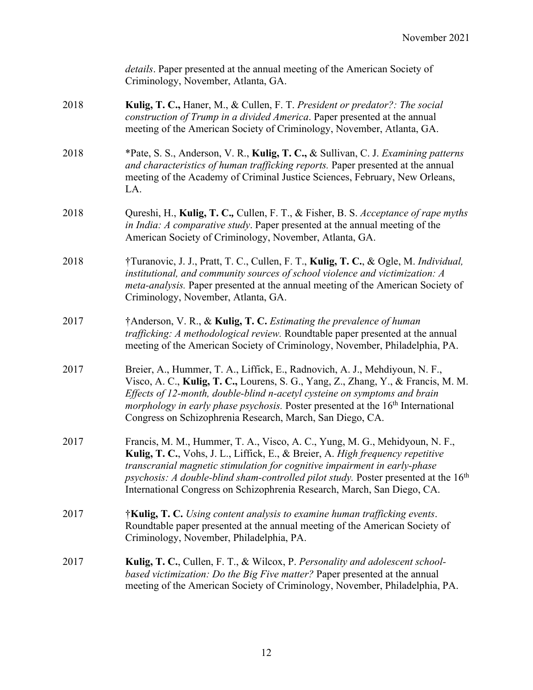|      | details. Paper presented at the annual meeting of the American Society of<br>Criminology, November, Atlanta, GA.                                                                                                                                                                                                                                                                                                         |
|------|--------------------------------------------------------------------------------------------------------------------------------------------------------------------------------------------------------------------------------------------------------------------------------------------------------------------------------------------------------------------------------------------------------------------------|
| 2018 | Kulig, T. C., Haner, M., & Cullen, F. T. President or predator?: The social<br>construction of Trump in a divided America. Paper presented at the annual<br>meeting of the American Society of Criminology, November, Atlanta, GA.                                                                                                                                                                                       |
| 2018 | *Pate, S. S., Anderson, V. R., Kulig, T. C., & Sullivan, C. J. Examining patterns<br>and characteristics of human trafficking reports. Paper presented at the annual<br>meeting of the Academy of Criminal Justice Sciences, February, New Orleans,<br>LA.                                                                                                                                                               |
| 2018 | Qureshi, H., Kulig, T. C., Cullen, F. T., & Fisher, B. S. Acceptance of rape myths<br>in India: A comparative study. Paper presented at the annual meeting of the<br>American Society of Criminology, November, Atlanta, GA.                                                                                                                                                                                             |
| 2018 | †Turanovic, J. J., Pratt, T. C., Cullen, F. T., Kulig, T. C., & Ogle, M. Individual,<br>institutional, and community sources of school violence and victimization: A<br><i>meta-analysis.</i> Paper presented at the annual meeting of the American Society of<br>Criminology, November, Atlanta, GA.                                                                                                                    |
| 2017 | †Anderson, V. R., & Kulig, T. C. Estimating the prevalence of human<br>trafficking: A methodological review. Roundtable paper presented at the annual<br>meeting of the American Society of Criminology, November, Philadelphia, PA.                                                                                                                                                                                     |
| 2017 | Breier, A., Hummer, T. A., Liffick, E., Radnovich, A. J., Mehdiyoun, N. F.,<br>Visco, A. C., Kulig, T. C., Lourens, S. G., Yang, Z., Zhang, Y., & Francis, M. M.<br>Effects of 12-month, double-blind n-acetyl cysteine on symptoms and brain<br><i>morphology in early phase psychosis.</i> Poster presented at the 16 <sup>th</sup> International<br>Congress on Schizophrenia Research, March, San Diego, CA.         |
| 2017 | Francis, M. M., Hummer, T. A., Visco, A. C., Yung, M. G., Mehidyoun, N. F.,<br>Kulig, T. C., Vohs, J. L., Liffick, E., & Breier, A. High frequency repetitive<br>transcranial magnetic stimulation for cognitive impairment in early-phase<br>psychosis: A double-blind sham-controlled pilot study. Poster presented at the 16 <sup>th</sup><br>International Congress on Schizophrenia Research, March, San Diego, CA. |
| 2017 | $\dagger$ Kulig, T. C. Using content analysis to examine human trafficking events.<br>Roundtable paper presented at the annual meeting of the American Society of<br>Criminology, November, Philadelphia, PA.                                                                                                                                                                                                            |
| 2017 | Kulig, T. C., Cullen, F. T., & Wilcox, P. Personality and adolescent school-<br>based victimization: Do the Big Five matter? Paper presented at the annual<br>meeting of the American Society of Criminology, November, Philadelphia, PA.                                                                                                                                                                                |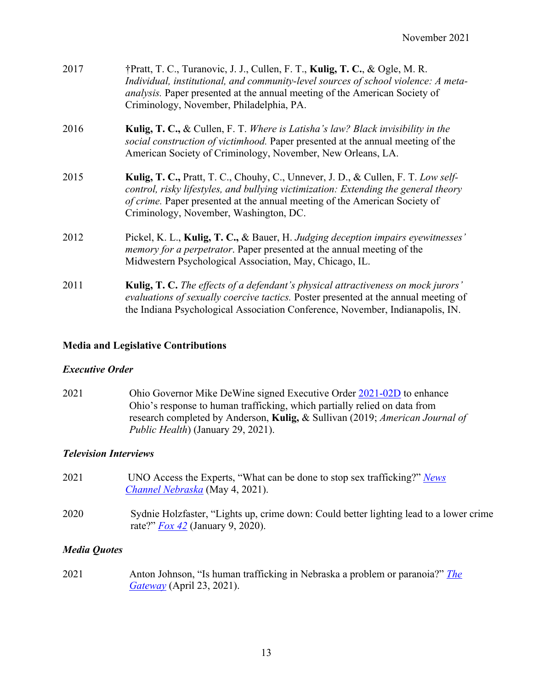| 2017 | †Pratt, T. C., Turanovic, J. J., Cullen, F. T., Kulig, T. C., & Ogle, M. R.<br>Individual, institutional, and community-level sources of school violence: A meta-<br>analysis. Paper presented at the annual meeting of the American Society of<br>Criminology, November, Philadelphia, PA.      |
|------|--------------------------------------------------------------------------------------------------------------------------------------------------------------------------------------------------------------------------------------------------------------------------------------------------|
| 2016 | <b>Kulig, T. C., &amp; Cullen, F. T. Where is Latisha's law? Black invisibility in the</b><br>social construction of victimhood. Paper presented at the annual meeting of the<br>American Society of Criminology, November, New Orleans, LA.                                                     |
| 2015 | Kulig, T. C., Pratt, T. C., Chouhy, C., Unnever, J. D., & Cullen, F. T. Low self-<br>control, risky lifestyles, and bullying victimization: Extending the general theory<br>of crime. Paper presented at the annual meeting of the American Society of<br>Criminology, November, Washington, DC. |
| 2012 | Pickel, K. L., Kulig, T. C., & Bauer, H. Judging deception impairs eyewitnesses'<br>memory for a perpetrator. Paper presented at the annual meeting of the<br>Midwestern Psychological Association, May, Chicago, IL.                                                                            |
| 2011 | <b>Kulig, T. C.</b> The effects of a defendant's physical attractiveness on mock jurors'<br>evaluations of sexually coercive tactics. Poster presented at the annual meeting of<br>the Indiana Psychological Association Conference, November, Indianapolis, IN.                                 |

#### **Media and Legislative Contributions**

#### *Executive Order*

2021 Ohio Governor Mike DeWine signed Executive Order 2021-02D to enhance Ohio's response to human trafficking, which partially relied on data from research completed by Anderson, **Kulig,** & Sullivan (2019; *American Journal of Public Health*) (January 29, 2021).

#### *Television Interviews*

2021 UNO Access the Experts, "What can be done to stop sex trafficking?" *News Channel Nebraska* (May 4, 2021). 2020 Sydnie Holzfaster, "Lights up, crime down: Could better lighting lead to a lower crime rate?" *Fox 42* (January 9, 2020).

#### *Media Quotes*

2021 Anton Johnson, "Is human trafficking in Nebraska a problem or paranoia?" *The Gateway* (April 23, 2021).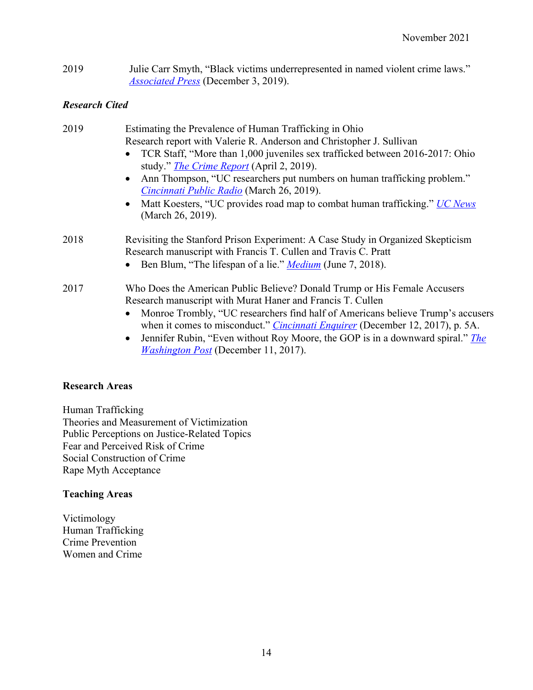2019 Julie Carr Smyth, "Black victims underrepresented in named violent crime laws." *Associated Press* (December 3, 2019).

# *Research Cited*

| 2019 | Estimating the Prevalence of Human Trafficking in Ohio                                                                                                                  |
|------|-------------------------------------------------------------------------------------------------------------------------------------------------------------------------|
|      | Research report with Valerie R. Anderson and Christopher J. Sullivan                                                                                                    |
|      | TCR Staff, "More than 1,000 juveniles sex trafficked between 2016-2017: Ohio<br>study." <i>The Crime Report</i> (April 2, 2019).                                        |
|      | Ann Thompson, "UC researchers put numbers on human trafficking problem."<br>Cincinnati Public Radio (March 26, 2019).                                                   |
|      | Matt Koesters, "UC provides road map to combat human trafficking." <i>UC News</i><br>(March 26, 2019).                                                                  |
| 2018 | Revisiting the Stanford Prison Experiment: A Case Study in Organized Skepticism<br>Research manuscript with Francis T. Cullen and Travis C. Pratt                       |
|      | Ben Blum, "The lifespan of a lie." <i>Medium</i> (June 7, 2018).                                                                                                        |
| 2017 | Who Does the American Public Believe? Donald Trump or His Female Accusers<br>Research manuscript with Murat Haner and Francis T. Cullen                                 |
|      | Monroe Trombly, "UC researchers find half of Americans believe Trump's accusers<br>when it comes to misconduct." <i>Cincinnati Enquirer</i> (December 12, 2017), p. 5A. |
|      | Jennifer Rubin, "Even without Roy Moore, the GOP is in a downward spiral." The<br><i>Washington Post</i> (December 11, 2017).                                           |

# **Research Areas**

Human Trafficking Theories and Measurement of Victimization Public Perceptions on Justice-Related Topics Fear and Perceived Risk of Crime Social Construction of Crime Rape Myth Acceptance

# **Teaching Areas**

Victimology Human Trafficking Crime Prevention Women and Crime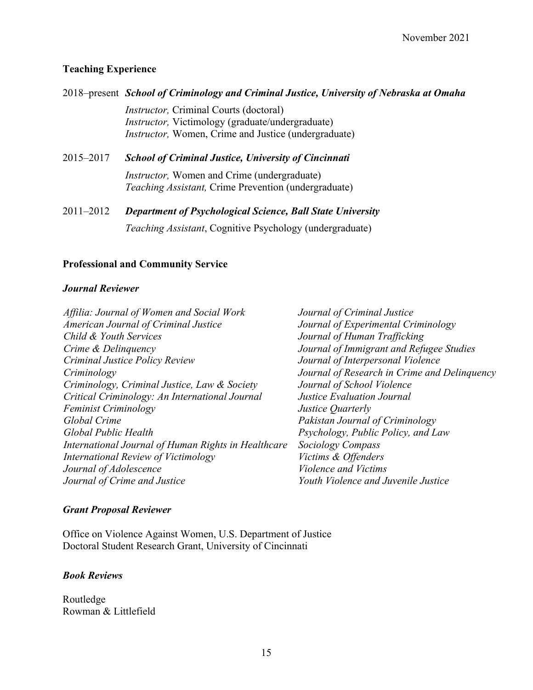# **Teaching Experience**

*Instructor,* Criminal Courts (doctoral) *Instructor,* Victimology (graduate/undergraduate) *Instructor*, Women, Crime and Justice (undergraduate)

- 2015–2017 *School of Criminal Justice, University of Cincinnati Instructor,* Women and Crime (undergraduate) *Teaching Assistant,* Crime Prevention (undergraduate)
- 2011–2012 *Department of Psychological Science, Ball State University Teaching Assistant*, Cognitive Psychology (undergraduate)

# **Professional and Community Service**

### *Journal Reviewer*

| Journal of Criminal Justice                  |
|----------------------------------------------|
| Journal of Experimental Criminology          |
| Journal of Human Trafficking                 |
| Journal of Immigrant and Refugee Studies     |
| Journal of Interpersonal Violence            |
| Journal of Research in Crime and Delinguency |
| Journal of School Violence                   |
| <b>Justice Evaluation Journal</b>            |
| Justice Quarterly                            |
| Pakistan Journal of Criminology              |
| Psychology, Public Policy, and Law           |
| Sociology Compass                            |
| Victims & Offenders                          |
| Violence and Victims                         |
| Youth Violence and Juvenile Justice          |
|                                              |

# *Grant Proposal Reviewer*

Office on Violence Against Women, U.S. Department of Justice Doctoral Student Research Grant, University of Cincinnati

# *Book Reviews*

Routledge Rowman & Littlefield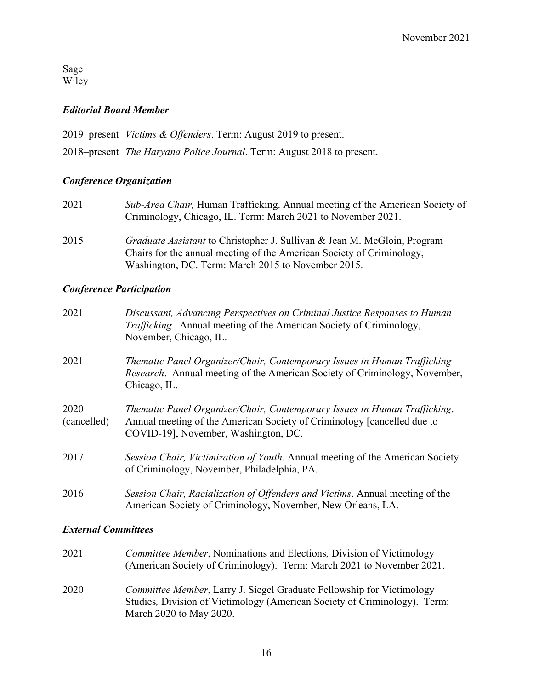Sage Wiley

## *Editorial Board Member*

2019–present *Victims & Offenders*. Term: August 2019 to present.

2018–present *The Haryana Police Journal*. Term: August 2018 to present.

# *Conference Organization*

- 2021 *Sub-Area Chair,* Human Trafficking. Annual meeting of the American Society of Criminology, Chicago, IL. Term: March 2021 to November 2021.
- 2015 *Graduate Assistant* to Christopher J. Sullivan & Jean M. McGloin, Program Chairs for the annual meeting of the American Society of Criminology, Washington, DC. Term: March 2015 to November 2015.

#### *Conference Participation*

| 2021                | Discussant, Advancing Perspectives on Criminal Justice Responses to Human<br><i>Trafficking.</i> Annual meeting of the American Society of Criminology,<br>November, Chicago, IL.            |
|---------------------|----------------------------------------------------------------------------------------------------------------------------------------------------------------------------------------------|
| 2021                | Thematic Panel Organizer/Chair, Contemporary Issues in Human Trafficking<br><i>Research.</i> Annual meeting of the American Society of Criminology, November,<br>Chicago, IL.                |
| 2020<br>(cancelled) | Thematic Panel Organizer/Chair, Contemporary Issues in Human Trafficking.<br>Annual meeting of the American Society of Criminology [cancelled due to<br>COVID-19], November, Washington, DC. |
| 2017                | Session Chair, Victimization of Youth. Annual meeting of the American Society<br>of Criminology, November, Philadelphia, PA.                                                                 |
| 2016                | Session Chair, Racialization of Offenders and Victims. Annual meeting of the<br>American Society of Criminology, November, New Orleans, LA.                                                  |

# *External Committees*

| 2021 | <i>Committee Member, Nominations and Elections, Division of Victimology</i><br>(American Society of Criminology). Term: March 2021 to November 2021.                                  |
|------|---------------------------------------------------------------------------------------------------------------------------------------------------------------------------------------|
| 2020 | <i>Committee Member</i> , Larry J. Siegel Graduate Fellowship for Victimology<br>Studies, Division of Victimology (American Society of Criminology). Term:<br>March 2020 to May 2020. |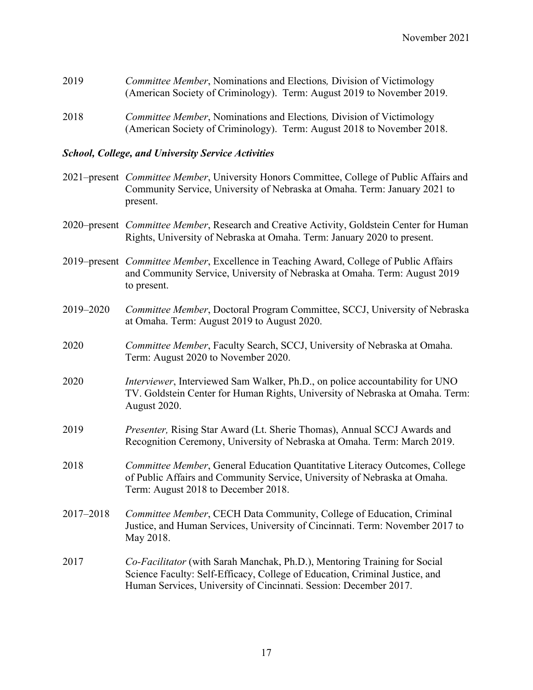| 2019 | Committee Member, Nominations and Elections, Division of Victimology   |
|------|------------------------------------------------------------------------|
|      | (American Society of Criminology). Term: August 2019 to November 2019. |
| 2018 | Committee Member, Nominations and Elections, Division of Victimology   |

#### *School, College, and University Service Activities*

2021–present *Committee Member*, University Honors Committee, College of Public Affairs and Community Service, University of Nebraska at Omaha. Term: January 2021 to present.

(American Society of Criminology). Term: August 2018 to November 2018.

- 2020–present *Committee Member*, Research and Creative Activity, Goldstein Center for Human Rights, University of Nebraska at Omaha. Term: January 2020 to present.
- 2019–present *Committee Member*, Excellence in Teaching Award, College of Public Affairs and Community Service, University of Nebraska at Omaha. Term: August 2019 to present.
- 2019–2020 *Committee Member*, Doctoral Program Committee, SCCJ, University of Nebraska at Omaha. Term: August 2019 to August 2020.
- 2020 *Committee Member*, Faculty Search, SCCJ, University of Nebraska at Omaha. Term: August 2020 to November 2020.
- 2020 *Interviewer*, Interviewed Sam Walker, Ph.D., on police accountability for UNO TV. Goldstein Center for Human Rights, University of Nebraska at Omaha. Term: August 2020.
- 2019 *Presenter,* Rising Star Award (Lt. Sherie Thomas), Annual SCCJ Awards and Recognition Ceremony, University of Nebraska at Omaha. Term: March 2019.
- 2018 *Committee Member*, General Education Quantitative Literacy Outcomes, College of Public Affairs and Community Service, University of Nebraska at Omaha. Term: August 2018 to December 2018.
- 2017–2018 *Committee Member*, CECH Data Community, College of Education, Criminal Justice, and Human Services, University of Cincinnati. Term: November 2017 to May 2018.
- 2017 *Co-Facilitator* (with Sarah Manchak, Ph.D.), Mentoring Training for Social Science Faculty: Self-Efficacy, College of Education, Criminal Justice, and Human Services, University of Cincinnati. Session: December 2017.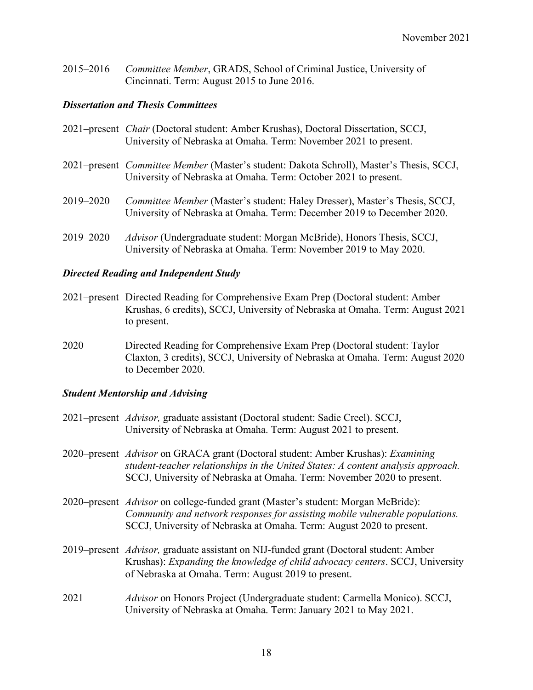2015–2016 *Committee Member*, GRADS, School of Criminal Justice, University of Cincinnati. Term: August 2015 to June 2016.

## *Dissertation and Thesis Committees*

|           | 2021–present Chair (Doctoral student: Amber Krushas), Doctoral Dissertation, SCCJ,<br>University of Nebraska at Omaha. Term: November 2021 to present.             |
|-----------|--------------------------------------------------------------------------------------------------------------------------------------------------------------------|
|           | 2021–present <i>Committee Member</i> (Master's student: Dakota Schroll), Master's Thesis, SCCJ,<br>University of Nebraska at Omaha. Term: October 2021 to present. |
| 2019–2020 | Committee Member (Master's student: Haley Dresser), Master's Thesis, SCCJ,<br>University of Nebraska at Omaha. Term: December 2019 to December 2020.               |
| 2019–2020 | Advisor (Undergraduate student: Morgan McBride), Honors Thesis, SCCJ,<br>University of Nebraska at Omaha. Term: November 2019 to May 2020.                         |

### *Directed Reading and Independent Study*

- 2021–present Directed Reading for Comprehensive Exam Prep (Doctoral student: Amber Krushas, 6 credits), SCCJ, University of Nebraska at Omaha. Term: August 2021 to present.
- 2020 Directed Reading for Comprehensive Exam Prep (Doctoral student: Taylor Claxton, 3 credits), SCCJ, University of Nebraska at Omaha. Term: August 2020 to December 2020.

# *Student Mentorship and Advising*

|      | 2021–present <i>Advisor</i> , graduate assistant (Doctoral student: Sadie Creel). SCCJ,<br>University of Nebraska at Omaha. Term: August 2021 to present.                                                                                       |
|------|-------------------------------------------------------------------------------------------------------------------------------------------------------------------------------------------------------------------------------------------------|
|      | 2020–present Advisor on GRACA grant (Doctoral student: Amber Krushas): Examining<br>student-teacher relationships in the United States: A content analysis approach.<br>SCCJ, University of Nebraska at Omaha. Term: November 2020 to present.  |
|      | 2020–present <i>Advisor</i> on college-funded grant (Master's student: Morgan McBride):<br>Community and network responses for assisting mobile vulnerable populations.<br>SCCJ, University of Nebraska at Omaha. Term: August 2020 to present. |
|      | 2019–present <i>Advisor</i> , graduate assistant on NIJ-funded grant (Doctoral student: Amber<br>Krushas): Expanding the knowledge of child advocacy centers. SCCJ, University<br>of Nebraska at Omaha. Term: August 2019 to present.           |
| 2021 | <i>Advisor</i> on Honors Project (Undergraduate student: Carmella Monico). SCCJ,<br>University of Nebraska at Omaha. Term: January 2021 to May 2021.                                                                                            |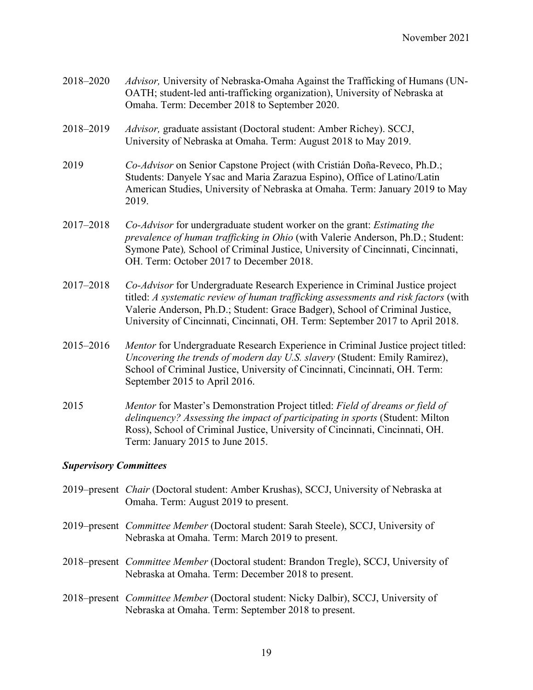| 2018-2020 | Advisor, University of Nebraska-Omaha Against the Trafficking of Humans (UN-<br>OATH; student-led anti-trafficking organization), University of Nebraska at<br>Omaha. Term: December 2018 to September 2020.                                                                                                                         |
|-----------|--------------------------------------------------------------------------------------------------------------------------------------------------------------------------------------------------------------------------------------------------------------------------------------------------------------------------------------|
| 2018-2019 | Advisor, graduate assistant (Doctoral student: Amber Richey). SCCJ,<br>University of Nebraska at Omaha. Term: August 2018 to May 2019.                                                                                                                                                                                               |
| 2019      | Co-Advisor on Senior Capstone Project (with Cristián Doña-Reveco, Ph.D.;<br>Students: Danyele Ysac and Maria Zarazua Espino), Office of Latino/Latin<br>American Studies, University of Nebraska at Omaha. Term: January 2019 to May<br>2019.                                                                                        |
| 2017-2018 | Co-Advisor for undergraduate student worker on the grant: Estimating the<br>prevalence of human trafficking in Ohio (with Valerie Anderson, Ph.D.; Student:<br>Symone Pate), School of Criminal Justice, University of Cincinnati, Cincinnati,<br>OH. Term: October 2017 to December 2018.                                           |
| 2017-2018 | Co-Advisor for Undergraduate Research Experience in Criminal Justice project<br>titled: A systematic review of human trafficking assessments and risk factors (with<br>Valerie Anderson, Ph.D.; Student: Grace Badger), School of Criminal Justice,<br>University of Cincinnati, Cincinnati, OH. Term: September 2017 to April 2018. |
| 2015-2016 | Mentor for Undergraduate Research Experience in Criminal Justice project titled:<br>Uncovering the trends of modern day U.S. slavery (Student: Emily Ramirez),<br>School of Criminal Justice, University of Cincinnati, Cincinnati, OH. Term:<br>September 2015 to April 2016.                                                       |
| 2015      | Mentor for Master's Demonstration Project titled: Field of dreams or field of<br>delinquency? Assessing the impact of participating in sports (Student: Milton<br>Ross), School of Criminal Justice, University of Cincinnati, Cincinnati, OH.<br>Term: January 2015 to June 2015.                                                   |

# *Supervisory Committees*

| 2019–present <i>Chair</i> (Doctoral student: Amber Krushas), SCCJ, University of Nebraska at<br>Omaha. Term: August 2019 to present.               |
|----------------------------------------------------------------------------------------------------------------------------------------------------|
| 2019–present <i>Committee Member</i> (Doctoral student: Sarah Steele), SCCJ, University of<br>Nebraska at Omaha. Term: March 2019 to present.      |
| 2018–present <i>Committee Member</i> (Doctoral student: Brandon Tregle), SCCJ, University of<br>Nebraska at Omaha. Term: December 2018 to present. |
| 2018–present Committee Member (Doctoral student: Nicky Dalbir), SCCJ, University of<br>Nebraska at Omaha. Term: September 2018 to present.         |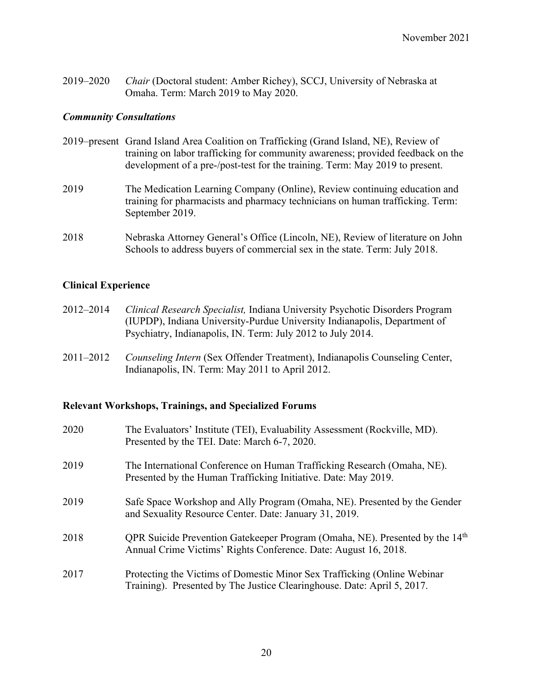2019–2020 *Chair* (Doctoral student: Amber Richey), SCCJ, University of Nebraska at Omaha. Term: March 2019 to May 2020.

#### *Community Consultations*

- 2019–present Grand Island Area Coalition on Trafficking (Grand Island, NE), Review of training on labor trafficking for community awareness; provided feedback on the development of a pre-/post-test for the training. Term: May 2019 to present.
- 2019 The Medication Learning Company (Online), Review continuing education and training for pharmacists and pharmacy technicians on human trafficking. Term: September 2019.
- 2018 Nebraska Attorney General's Office (Lincoln, NE), Review of literature on John Schools to address buyers of commercial sex in the state. Term: July 2018.

#### **Clinical Experience**

- 2012–2014 *Clinical Research Specialist,* Indiana University Psychotic Disorders Program (IUPDP), Indiana University-Purdue University Indianapolis, Department of Psychiatry, Indianapolis, IN. Term: July 2012 to July 2014.
- 2011–2012 *Counseling Intern* (Sex Offender Treatment), Indianapolis Counseling Center, Indianapolis, IN. Term: May 2011 to April 2012.

#### **Relevant Workshops, Trainings, and Specialized Forums**

| 2020 | The Evaluators' Institute (TEI), Evaluability Assessment (Rockville, MD).<br>Presented by the TEI. Date: March 6-7, 2020.                                   |
|------|-------------------------------------------------------------------------------------------------------------------------------------------------------------|
| 2019 | The International Conference on Human Trafficking Research (Omaha, NE).<br>Presented by the Human Trafficking Initiative. Date: May 2019.                   |
| 2019 | Safe Space Workshop and Ally Program (Omaha, NE). Presented by the Gender<br>and Sexuality Resource Center. Date: January 31, 2019.                         |
| 2018 | QPR Suicide Prevention Gatekeeper Program (Omaha, NE). Presented by the 14 <sup>th</sup><br>Annual Crime Victims' Rights Conference. Date: August 16, 2018. |
| 2017 | Protecting the Victims of Domestic Minor Sex Trafficking (Online Webinar)<br>Training). Presented by The Justice Clearinghouse. Date: April 5, 2017.        |